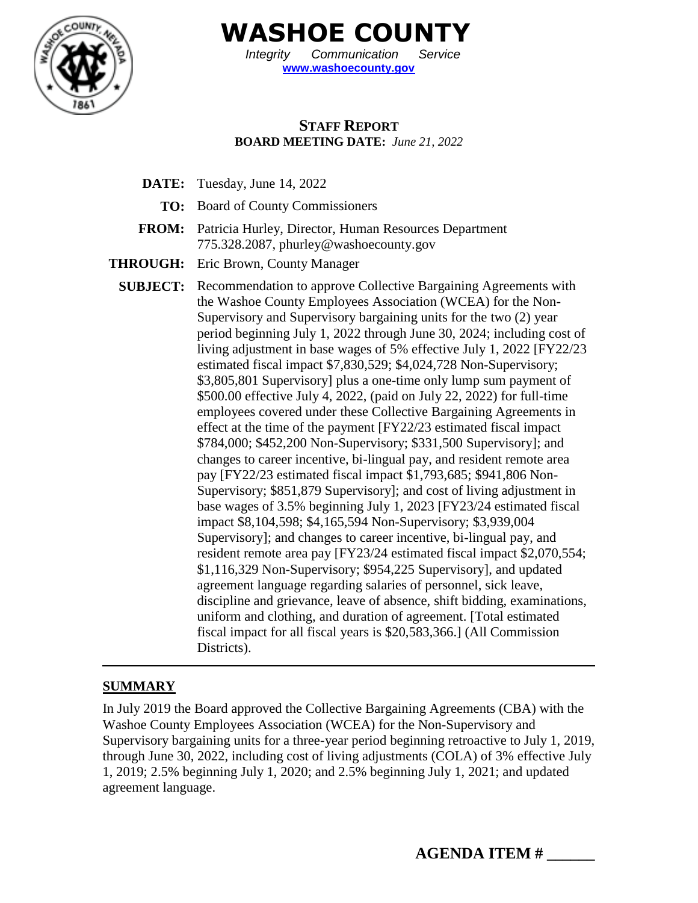

**WASHOE COUNTY**

*Integrity Communication Service* **[www.washoecounty.gov](http://www.washoecounty.gov/)**

## **STAFF REPORT BOARD MEETING DATE:** *June 21, 2022*

- **DATE:** Tuesday, June 14, 2022
	- **TO:** Board of County Commissioners
- **FROM:** Patricia Hurley, Director, Human Resources Department 775.328.2087, phurley@washoecounty.gov
- **THROUGH:** Eric Brown, County Manager
	- **SUBJECT:** Recommendation to approve Collective Bargaining Agreements with the Washoe County Employees Association (WCEA) for the Non-Supervisory and Supervisory bargaining units for the two (2) year period beginning July 1, 2022 through June 30, 2024; including cost of living adjustment in base wages of 5% effective July 1, 2022 [FY22/23 estimated fiscal impact \$7,830,529; \$4,024,728 Non-Supervisory; \$3,805,801 Supervisory] plus a one-time only lump sum payment of \$500.00 effective July 4, 2022, (paid on July 22, 2022) for full-time employees covered under these Collective Bargaining Agreements in effect at the time of the payment [FY22/23 estimated fiscal impact \$784,000; \$452,200 Non-Supervisory; \$331,500 Supervisory]; and changes to career incentive, bi-lingual pay, and resident remote area pay [FY22/23 estimated fiscal impact \$1,793,685; \$941,806 Non-Supervisory; \$851,879 Supervisory]; and cost of living adjustment in base wages of 3.5% beginning July 1, 2023 [FY23/24 estimated fiscal impact \$8,104,598; \$4,165,594 Non-Supervisory; \$3,939,004 Supervisory]; and changes to career incentive, bi-lingual pay, and resident remote area pay [FY23/24 estimated fiscal impact \$2,070,554; \$1,116,329 Non-Supervisory; \$954,225 Supervisory], and updated agreement language regarding salaries of personnel, sick leave, discipline and grievance, leave of absence, shift bidding, examinations, uniform and clothing, and duration of agreement. [Total estimated fiscal impact for all fiscal years is \$20,583,366.] (All Commission Districts).

## **SUMMARY**

In July 2019 the Board approved the Collective Bargaining Agreements (CBA) with the Washoe County Employees Association (WCEA) for the Non-Supervisory and Supervisory bargaining units for a three-year period beginning retroactive to July 1, 2019, through June 30, 2022, including cost of living adjustments (COLA) of 3% effective July 1, 2019; 2.5% beginning July 1, 2020; and 2.5% beginning July 1, 2021; and updated agreement language.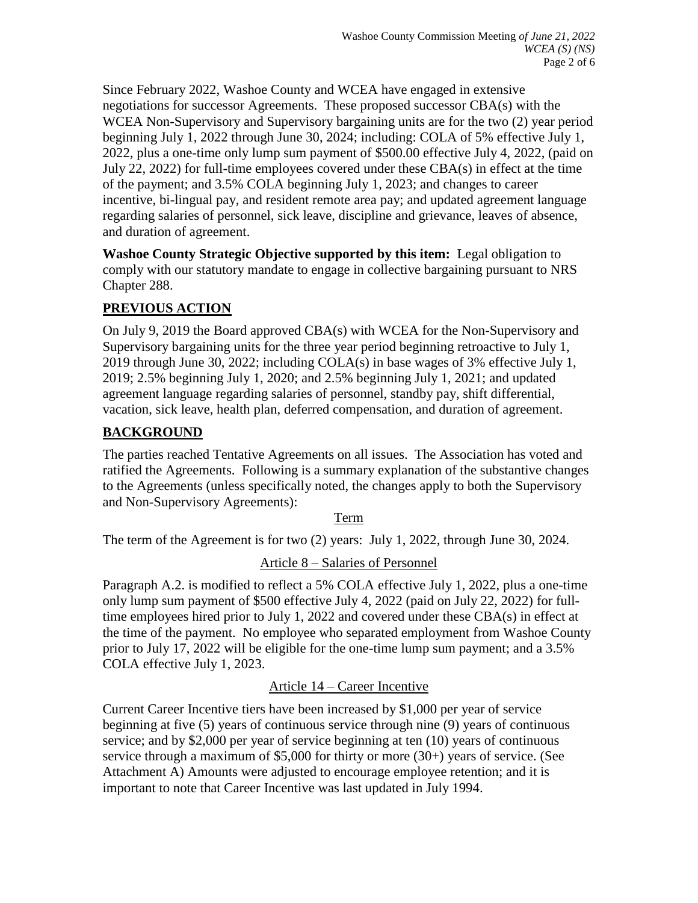Since February 2022, Washoe County and WCEA have engaged in extensive negotiations for successor Agreements. These proposed successor CBA(s) with the WCEA Non-Supervisory and Supervisory bargaining units are for the two (2) year period beginning July 1, 2022 through June 30, 2024; including: COLA of 5% effective July 1, 2022, plus a one-time only lump sum payment of \$500.00 effective July 4, 2022, (paid on July 22, 2022) for full-time employees covered under these CBA(s) in effect at the time of the payment; and 3.5% COLA beginning July 1, 2023; and changes to career incentive, bi-lingual pay, and resident remote area pay; and updated agreement language regarding salaries of personnel, sick leave, discipline and grievance, leaves of absence, and duration of agreement.

**Washoe County Strategic Objective supported by this item:** Legal obligation to comply with our statutory mandate to engage in collective bargaining pursuant to NRS Chapter 288.

## **PREVIOUS ACTION**

On July 9, 2019 the Board approved CBA(s) with WCEA for the Non-Supervisory and Supervisory bargaining units for the three year period beginning retroactive to July 1, 2019 through June 30, 2022; including COLA(s) in base wages of 3% effective July 1, 2019; 2.5% beginning July 1, 2020; and 2.5% beginning July 1, 2021; and updated agreement language regarding salaries of personnel, standby pay, shift differential, vacation, sick leave, health plan, deferred compensation, and duration of agreement.

## **BACKGROUND**

The parties reached Tentative Agreements on all issues. The Association has voted and ratified the Agreements. Following is a summary explanation of the substantive changes to the Agreements (unless specifically noted, the changes apply to both the Supervisory and Non-Supervisory Agreements):

## Term

The term of the Agreement is for two (2) years: July 1, 2022, through June 30, 2024.

Article 8 – Salaries of Personnel

Paragraph A.2. is modified to reflect a 5% COLA effective July 1, 2022, plus a one-time only lump sum payment of \$500 effective July 4, 2022 (paid on July 22, 2022) for fulltime employees hired prior to July 1, 2022 and covered under these CBA(s) in effect at the time of the payment. No employee who separated employment from Washoe County prior to July 17, 2022 will be eligible for the one-time lump sum payment; and a 3.5% COLA effective July 1, 2023.

## Article 14 – Career Incentive

Current Career Incentive tiers have been increased by \$1,000 per year of service beginning at five (5) years of continuous service through nine (9) years of continuous service; and by \$2,000 per year of service beginning at ten (10) years of continuous service through a maximum of \$5,000 for thirty or more (30+) years of service. (See Attachment A) Amounts were adjusted to encourage employee retention; and it is important to note that Career Incentive was last updated in July 1994.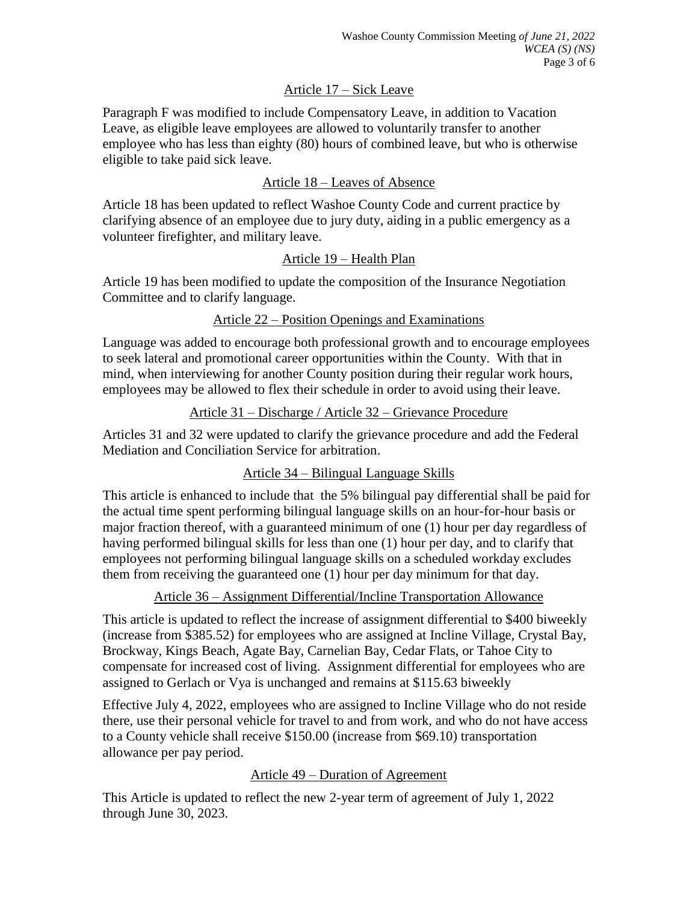#### Article 17 – Sick Leave

Paragraph F was modified to include Compensatory Leave, in addition to Vacation Leave, as eligible leave employees are allowed to voluntarily transfer to another employee who has less than eighty (80) hours of combined leave, but who is otherwise eligible to take paid sick leave.

#### Article 18 – Leaves of Absence

Article 18 has been updated to reflect Washoe County Code and current practice by clarifying absence of an employee due to jury duty, aiding in a public emergency as a volunteer firefighter, and military leave.

#### Article 19 – Health Plan

Article 19 has been modified to update the composition of the Insurance Negotiation Committee and to clarify language.

#### Article 22 – Position Openings and Examinations

Language was added to encourage both professional growth and to encourage employees to seek lateral and promotional career opportunities within the County. With that in mind, when interviewing for another County position during their regular work hours, employees may be allowed to flex their schedule in order to avoid using their leave.

#### Article 31 – Discharge / Article 32 – Grievance Procedure

Articles 31 and 32 were updated to clarify the grievance procedure and add the Federal Mediation and Conciliation Service for arbitration.

## Article 34 – Bilingual Language Skills

This article is enhanced to include that the 5% bilingual pay differential shall be paid for the actual time spent performing bilingual language skills on an hour-for-hour basis or major fraction thereof, with a guaranteed minimum of one (1) hour per day regardless of having performed bilingual skills for less than one (1) hour per day, and to clarify that employees not performing bilingual language skills on a scheduled workday excludes them from receiving the guaranteed one (1) hour per day minimum for that day.

Article 36 – Assignment Differential/Incline Transportation Allowance

This article is updated to reflect the increase of assignment differential to \$400 biweekly (increase from \$385.52) for employees who are assigned at Incline Village, Crystal Bay, Brockway, Kings Beach, Agate Bay, Carnelian Bay, Cedar Flats, or Tahoe City to compensate for increased cost of living. Assignment differential for employees who are assigned to Gerlach or Vya is unchanged and remains at \$115.63 biweekly

Effective July 4, 2022, employees who are assigned to Incline Village who do not reside there, use their personal vehicle for travel to and from work, and who do not have access to a County vehicle shall receive \$150.00 (increase from \$69.10) transportation allowance per pay period.

## Article 49 – Duration of Agreement

This Article is updated to reflect the new 2-year term of agreement of July 1, 2022 through June 30, 2023.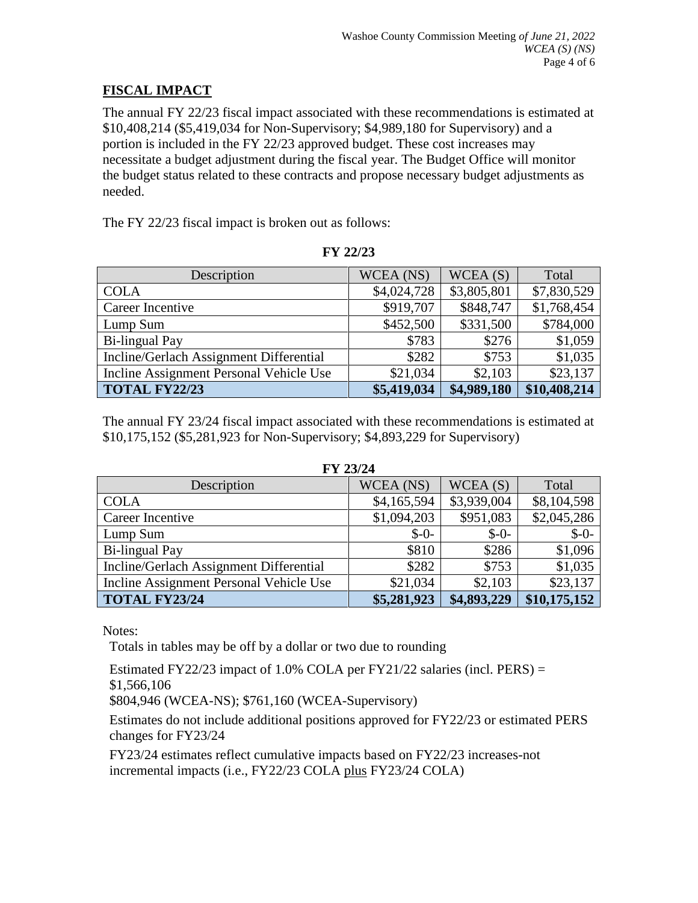## **FISCAL IMPACT**

The annual FY 22/23 fiscal impact associated with these recommendations is estimated at \$10,408,214 (\$5,419,034 for Non-Supervisory; \$4,989,180 for Supervisory) and a portion is included in the FY 22/23 approved budget. These cost increases may necessitate a budget adjustment during the fiscal year. The Budget Office will monitor the budget status related to these contracts and propose necessary budget adjustments as needed.

The FY 22/23 fiscal impact is broken out as follows:

| Description                             | WCEA (NS)   | WCEA(S)     | Total        |
|-----------------------------------------|-------------|-------------|--------------|
| <b>COLA</b>                             | \$4,024,728 | \$3,805,801 | \$7,830,529  |
| Career Incentive                        | \$919,707   | \$848,747   | \$1,768,454  |
| Lump Sum                                | \$452,500   | \$331,500   | \$784,000    |
| <b>Bi-lingual Pay</b>                   | \$783       | \$276       | \$1,059      |
| Incline/Gerlach Assignment Differential | \$282       | \$753       | \$1,035      |
| Incline Assignment Personal Vehicle Use | \$21,034    | \$2,103     | \$23,137     |
| <b>TOTAL FY22/23</b>                    | \$5,419,034 | \$4,989,180 | \$10,408,214 |

**FY 22/23**

The annual FY 23/24 fiscal impact associated with these recommendations is estimated at \$10,175,152 (\$5,281,923 for Non-Supervisory; \$4,893,229 for Supervisory)

**FX7.33/34** 

| FY 23/24                                |             |             |              |  |  |
|-----------------------------------------|-------------|-------------|--------------|--|--|
| Description                             | WCEA (NS)   | WCEA(S)     | Total        |  |  |
| <b>COLA</b>                             | \$4,165,594 | \$3,939,004 | \$8,104,598  |  |  |
| Career Incentive                        | \$1,094,203 | \$951,083   | \$2,045,286  |  |  |
| Lump Sum                                | $$ -0-$     | $$ -0-$     | $$ -0-$      |  |  |
| <b>Bi-lingual Pay</b>                   | \$810       | \$286       | \$1,096      |  |  |
| Incline/Gerlach Assignment Differential | \$282       | \$753       | \$1,035      |  |  |
| Incline Assignment Personal Vehicle Use | \$21,034    | \$2,103     | \$23,137     |  |  |
| <b>TOTAL FY23/24</b>                    | \$5,281,923 | \$4,893,229 | \$10,175,152 |  |  |

Notes: Totals in tables may be off by a dollar or two due to rounding

Estimated FY22/23 impact of 1.0% COLA per FY21/22 salaries (incl. PERS) =

\$1,566,106

\$804,946 (WCEA-NS); \$761,160 (WCEA-Supervisory)

 Estimates do not include additional positions approved for FY22/23 or estimated PERS changes for FY23/24

 FY23/24 estimates reflect cumulative impacts based on FY22/23 increases-not incremental impacts (i.e., FY22/23 COLA plus FY23/24 COLA)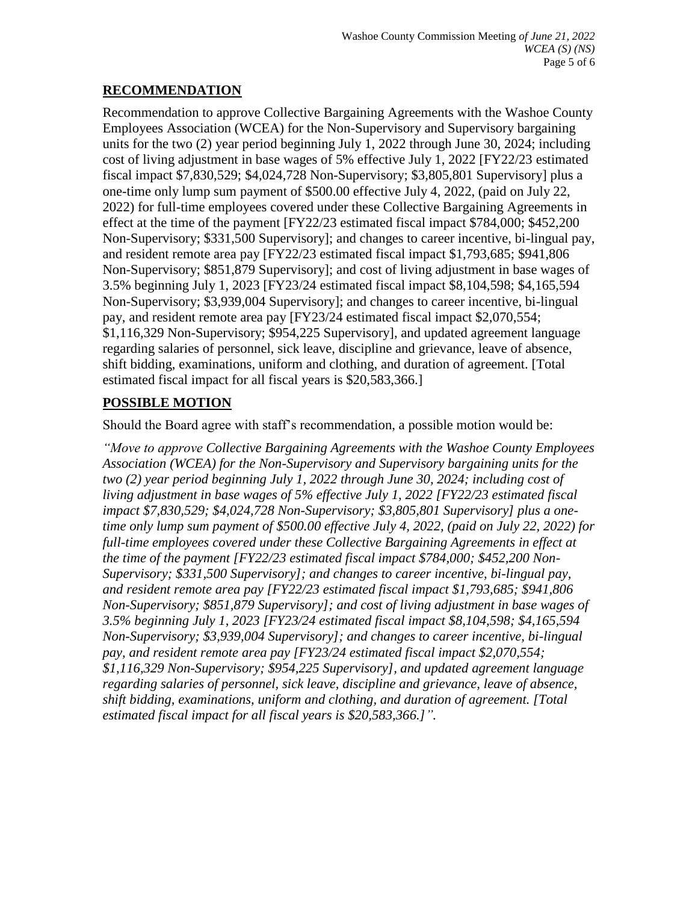## **RECOMMENDATION**

Recommendation to approve Collective Bargaining Agreements with the Washoe County Employees Association (WCEA) for the Non-Supervisory and Supervisory bargaining units for the two (2) year period beginning July 1, 2022 through June 30, 2024; including cost of living adjustment in base wages of 5% effective July 1, 2022 [FY22/23 estimated fiscal impact \$7,830,529; \$4,024,728 Non-Supervisory; \$3,805,801 Supervisory] plus a one-time only lump sum payment of \$500.00 effective July 4, 2022, (paid on July 22, 2022) for full-time employees covered under these Collective Bargaining Agreements in effect at the time of the payment [FY22/23 estimated fiscal impact \$784,000; \$452,200 Non-Supervisory; \$331,500 Supervisory]; and changes to career incentive, bi-lingual pay, and resident remote area pay [FY22/23 estimated fiscal impact \$1,793,685; \$941,806 Non-Supervisory; \$851,879 Supervisory]; and cost of living adjustment in base wages of 3.5% beginning July 1, 2023 [FY23/24 estimated fiscal impact \$8,104,598; \$4,165,594 Non-Supervisory; \$3,939,004 Supervisory]; and changes to career incentive, bi-lingual pay, and resident remote area pay [FY23/24 estimated fiscal impact \$2,070,554; \$1,116,329 Non-Supervisory; \$954,225 Supervisory], and updated agreement language regarding salaries of personnel, sick leave, discipline and grievance, leave of absence, shift bidding, examinations, uniform and clothing, and duration of agreement. [Total estimated fiscal impact for all fiscal years is \$20,583,366.]

# **POSSIBLE MOTION**

Should the Board agree with staff's recommendation, a possible motion would be:

*"Move to approve Collective Bargaining Agreements with the Washoe County Employees Association (WCEA) for the Non-Supervisory and Supervisory bargaining units for the two (2) year period beginning July 1, 2022 through June 30, 2024; including cost of living adjustment in base wages of 5% effective July 1, 2022 [FY22/23 estimated fiscal impact \$7,830,529; \$4,024,728 Non-Supervisory; \$3,805,801 Supervisory] plus a onetime only lump sum payment of \$500.00 effective July 4, 2022, (paid on July 22, 2022) for full-time employees covered under these Collective Bargaining Agreements in effect at the time of the payment [FY22/23 estimated fiscal impact \$784,000; \$452,200 Non-Supervisory; \$331,500 Supervisory]; and changes to career incentive, bi-lingual pay, and resident remote area pay [FY22/23 estimated fiscal impact \$1,793,685; \$941,806 Non-Supervisory; \$851,879 Supervisory]; and cost of living adjustment in base wages of 3.5% beginning July 1, 2023 [FY23/24 estimated fiscal impact \$8,104,598; \$4,165,594 Non-Supervisory; \$3,939,004 Supervisory]; and changes to career incentive, bi-lingual pay, and resident remote area pay [FY23/24 estimated fiscal impact \$2,070,554; \$1,116,329 Non-Supervisory; \$954,225 Supervisory], and updated agreement language regarding salaries of personnel, sick leave, discipline and grievance, leave of absence, shift bidding, examinations, uniform and clothing, and duration of agreement. [Total estimated fiscal impact for all fiscal years is \$20,583,366.]".*